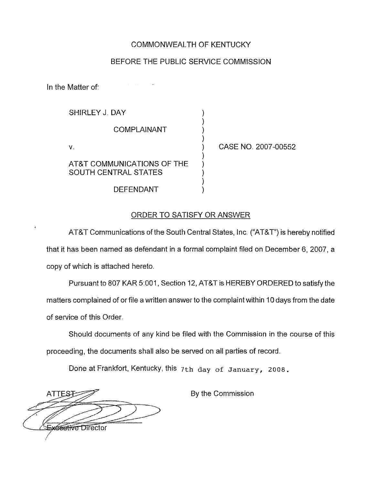### COMMONWEALTH OF KENTUCKY

#### BEFORE THE PUBLIC SERVICE COMMISSION

) ) ) )

) ) ) ) )

In the Matter of:

SHIRLEY J. DAY

COMPLAiNANT

V.

AT&T COMMUNICATIONS OF THE SOUTH CENTRAL STATES

DEFENDANT

) CASE NO. 2007-00552

### ORDER TO SATISFY OR ANSWER

AT&T Communications of the South Central States, Inc. ("AT&T")is hereby notified that it has been named as defendant in a formal complaint filed on December 6, 2007, a copy of which is attached hereto

Pursuant to 807 KAR 5:001, Section 12, AT&T is HEREBY ORDERED to satisfy the matters complained of or file a written answer to the complaint within 10days from the date of service of this Order.

Should documents of any kind be filed with the Commission in the course of this proceeding, the documents shall also be served on all parties of record.

Done at Frankfort, Kentucky, this 7th day of January, 2008.

**ATTEST Xeettive Director** 

By the Commission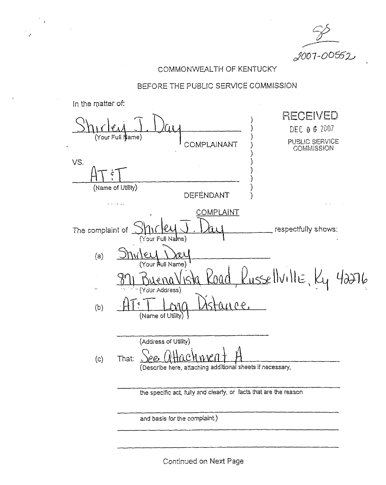2007-00552

# COMMONWEALTH OF KENTUCKY

## BEFORE THE PUBLIC SERVICE COMMISSION

| In the matter of:             |                                                                    |                                                                 |
|-------------------------------|--------------------------------------------------------------------|-----------------------------------------------------------------|
|                               | (Your Full Name)<br>COMPLAINANT                                    | RECEIVED<br>DEC 0 6 2007<br>PUBLIC SERVICE<br><b>COMMISSION</b> |
| VS.<br>ξ<br>(Name of Utility) | DEFENDANT                                                          |                                                                 |
|                               | <u>COMPLAINT</u>                                                   |                                                                 |
| The complaint of              | (Your Full Name)                                                   | respectfully shows:                                             |
| (a)                           | РA<br>(Your Rull Name)                                             |                                                                 |
|                               | - (Your Address)                                                   | $L_{\text{usSE}}$ llville, $k_{1}$ 42276                        |
| (b)                           | Q(t)<br>MC)<br>(Name of Utility) $\}$                              |                                                                 |
|                               | (Address of Utility)                                               |                                                                 |
| (c)                           | That:<br>(Describe here, attaching additional sheets if necessary, |                                                                 |
|                               | the specific act, fully and clearly, or facts that are the reason  |                                                                 |
|                               | and basis for the complaint)                                       |                                                                 |
|                               |                                                                    |                                                                 |

Continued on Next Page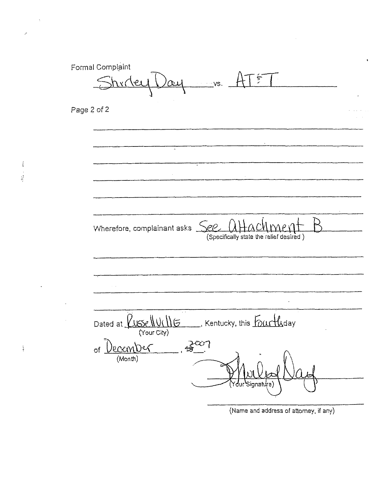Formal Complaint  $\sum_{i=1}^{n}$ <u>hr(</u> \e  $\infty$  $\neg$  VS. Page 2 of 2 Hackmer Wherefore, complainant asks See (Specifically state the relief desired) Dated at *LUSSell U(IIIG*  $\Box$ , Kentucky, this  $\sqrt{\frac{1}{2}}$ (Your City)  $\frac{2}{10}$  $1)$ prember  $\circ$ f (Month)

(Name and address of attorney, if any)

 $\frac{3}{4}$  $\frac{1}{2} \sum_{i=1}^{n} \frac{1}{2} \sum_{j=1}^{n} \frac{1}{2} \sum_{j=1}^{n} \frac{1}{2} \sum_{j=1}^{n} \frac{1}{2} \sum_{j=1}^{n} \frac{1}{2} \sum_{j=1}^{n} \frac{1}{2} \sum_{j=1}^{n} \frac{1}{2} \sum_{j=1}^{n} \frac{1}{2} \sum_{j=1}^{n} \frac{1}{2} \sum_{j=1}^{n} \frac{1}{2} \sum_{j=1}^{n} \frac{1}{2} \sum_{j=1}^{n} \frac{1}{2} \sum_{j=1}^{n$ 

 $\frac{1}{2}$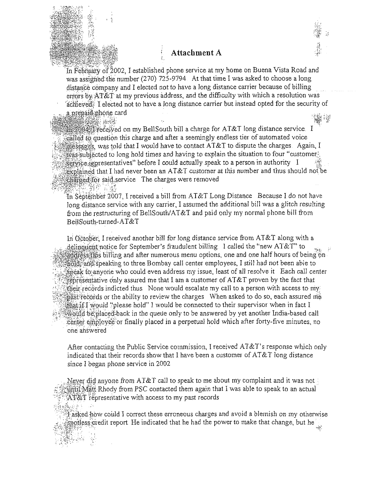

In February of 2002, I established phone service at my home on Buena Vista Road and was assigned the number (270) 725-9794. At that time I was asked to choose a long distance company and I elected not to have a long distance carrier because of billing errors by AT&T at my previous address, and the difficulty with which a resolution was achieved. I elected not to have a long distance carrier but instead opted for the security of a prepaid phone card 龜網

essi aft

 $\mathcal{B}_{\mathcal{S}} \oplus \mathcal{B}$ 

 $\frac{1}{2004}$  (received on my BellSouth bill a charge for AT&T long distance service. I called to question this charge and after a seemingly endless tier of automated voice  $\frac{1}{2}$  is safely was told that I would have to contact AT&T to dispute the charges. Again, I  $\frac{1}{2}$  was subjected to long hold times and having to explain the situation to four "customery  $\mathbb{R}$  is independent in the set of  $\mathbb{R}$  is could actually speak to a person in authority if explained that I had never been an AT&T customer at this number and thus should not be charged for said service The charges were removed

ţ.

In September 2007, I received a bill from  $AT&T$  Long Distance Because I do not have long distance service with any carrier, I assumed the additional bill was a glitch resulting from the restructuring of BellSouth/AT&T and paid only my normal phone bill from BellSouth-turned-AT&T

In October, I received another bill for long distance service from AT&T along with a delinguent notice for September's fraudulent billing. I called the "new AT&T" to adiress: 脑 billing and after numerous menu options, one and one half hours of being on fold, and speaking to three Bombay call center employees, I still had not been able to speak to anyone who could even address my issue, least of all resolve it Each call center representative only assured me that I am a customer of AT&T proven by the fact that their records indicted thus None would escalate my call to a person with access to my past records or the ability to review the charges When asked to do so, each assured me that if I would "please hold" I would be connected to their supervisor when in fact I would be placed back in the queue only to be answered by yet another India-based call center employee or finally placed in a perpetual hold which after forty-five minutes, no one answered

After contacting the Public Service commission, I received AT&T's response which only indicated that their records show that I have been a customer of  $AT\&T$  long distance since I began phone service in 2002

Never did anyone from  $AT\&T$  call to speak to me about my complaint and it was not until Matt Rhody from PSC contacted them again that I was able to speak to an actual  $AT&T$  representative with access to my past records

Tasked how could I correct these erroneous charges and avoid a blemish on my otherwise  $\frac{1}{2}$  asked with a contract the set of the had the power to make that change, but he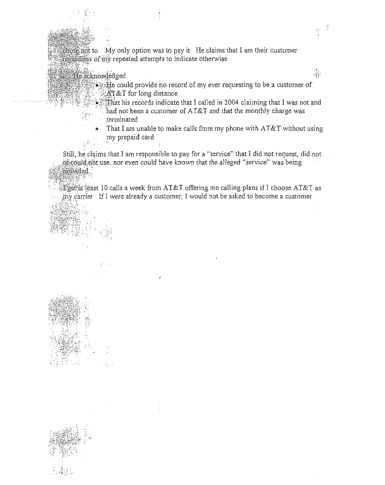chose not to My only option was to pay it He claims that I am their customer regardless of my repeated attempts to indicate otherwise

- He acknowledged
	- $\bullet$ . He could provide no record of my ever requesting to be a customer of  $AT&T$  for long distance

Ť  $\frac{1}{\sqrt{2}}$ 

 $d^{\rm c}$ 

- That his records indicate that I called in 2004 claiming that I was not and had not been a customer of AT&T and that the monthly charge was terminated
- That I am unable to make calls from my phone with AT&T without using my prepaid card

Still, he claims that I am responsible to pay for a "service" that I did not request, did not of could not use, nor even could have known that the alleged "service" was being provided.

 $\mathbb{E}$ gefat least 10 calls a week from AT&T offering me calling plans if I choose AT&T as  $\mu$  carrier If I were already a customer. I would not be asked to become a customer